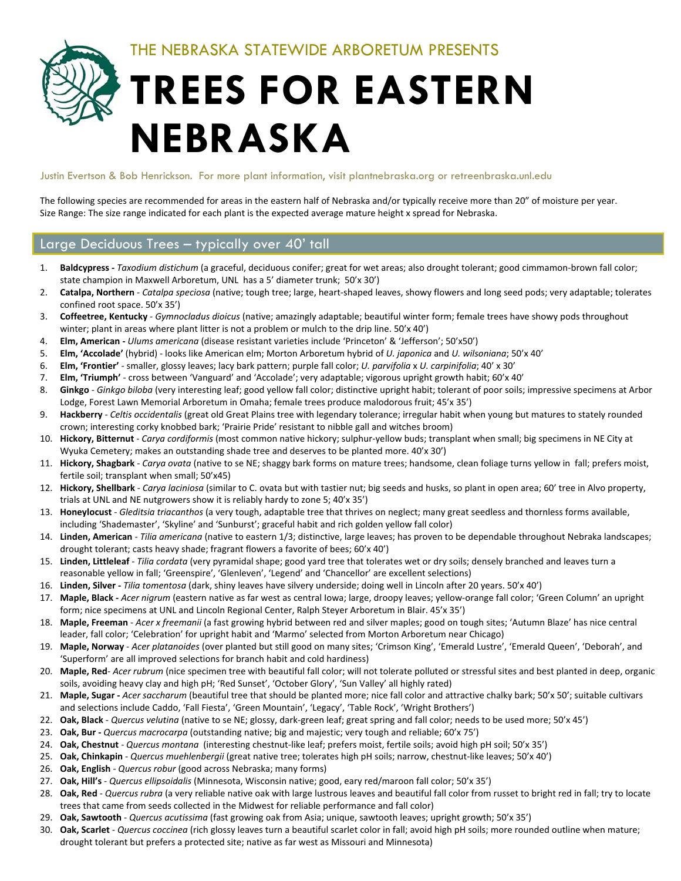THE NEBRASKA STATEWIDE ARBORETUM PRESENTS

# **TREES FOR EASTERN NEBRASKA**

#### Justin Evertson & Bob Henrickson. For more plant information, visit plantnebraska.org or retreenbraska.unl.edu

The following species are recommended for areas in the eastern half of Nebraska and/or typically receive more than 20" of moisture per year. Size Range: The size range indicated for each plant is the expected average mature height x spread for Nebraska.

#### Large Deciduous Trees – typically over 40' tall

- 1. **Baldcypress ‐** *Taxodium distichum* (a graceful, deciduous conifer; great for wet areas; also drought tolerant; good cimmamon‐brown fall color; state champion in Maxwell Arboretum, UNL has a 5' diameter trunk; 50'x 30')
- 2. **Catalpa, Northern** ‐ *Catalpa speciosa* (native; tough tree; large, heart‐shaped leaves, showy flowers and long seed pods; very adaptable; tolerates confined root space. 50'x 35')
- 3. **Coffeetree, Kentucky** ‐ *Gymnocladus dioicus* (native; amazingly adaptable; beautiful winter form; female trees have showy pods throughout winter; plant in areas where plant litter is not a problem or mulch to the drip line. 50'x 40')
- 4. **Elm, American ‐** *Ulums americana* (disease resistant varieties include 'Princeton' & 'Jefferson'; 50'x50')
- 5. **Elm, 'Accolade'** (hybrid) ‐ looks like American elm; Morton Arboretum hybrid of *U. japonica* and *U. wilsoniana*; 50'x 40'
- 6. **Elm, 'Frontier'** ‐ smaller, glossy leaves; lacy bark pattern; purple fall color; *U. parvifolia* x *U. carpinifolia*; 40' x 30'
- 7. **Elm, 'Triumph'** ‐ cross between 'Vanguard' and 'Accolade'; very adaptable; vigorous upright growth habit; 60'x 40'
- 8. Ginkgo Ginkgo biloba (very interesting leaf; good yellow fall color; distinctive upright habit; tolerant of poor soils; impressive specimens at Arbor Lodge, Forest Lawn Memorial Arboretum in Omaha; female trees produce malodorous fruit; 45'x 35')
- 9. **Hackberry** ‐ *Celtis occidentalis* (great old Great Plains tree with legendary tolerance; irregular habit when young but matures to stately rounded crown; interesting corky knobbed bark; 'Prairie Pride' resistant to nibble gall and witches broom)
- 10. **Hickory, Bitternut** ‐ *Carya cordiformis* (most common native hickory; sulphur‐yellow buds; transplant when small; big specimens in NE City at Wyuka Cemetery; makes an outstanding shade tree and deserves to be planted more. 40'x 30')
- 11. **Hickory, Shagbark** ‐ *Carya ovata* (native to se NE; shaggy bark forms on mature trees; handsome, clean foliage turns yellow in fall; prefers moist, fertile soil; transplant when small; 50'x45)
- 12. **Hickory, Shellbark** ‐ *Carya laciniosa* (similar to C. ovata but with tastier nut; big seeds and husks, so plant in open area; 60' tree in Alvo property, trials at UNL and NE nutgrowers show it is reliably hardy to zone 5; 40'x 35')
- 13. **Honeylocust** ‐ *Gleditsia triacanthos* (a very tough, adaptable tree that thrives on neglect; many great seedless and thornless forms available, including 'Shademaster', 'Skyline' and 'Sunburst'; graceful habit and rich golden yellow fall color)
- 14. **Linden, American** ‐ *Tilia americana* (native to eastern 1/3; distinctive, large leaves; has proven to be dependable throughout Nebraka landscapes; drought tolerant; casts heavy shade; fragrant flowers a favorite of bees; 60'x 40')
- 15. **Linden, Littleleaf** ‐ *Tilia cordata* (very pyramidal shape; good yard tree that tolerates wet or dry soils; densely branched and leaves turn a reasonable yellow in fall; 'Greenspire', 'Glenleven', 'Legend' and 'Chancellor' are excellent selections)
- 16. **Linden, Silver ‐** *Tilia tomentosa* (dark, shiny leaves have silvery underside; doing well in Lincoln after 20 years. 50'x 40')
- 17. **Maple, Black ‐** *Acer nigrum* (eastern native as far west as central Iowa; large, droopy leaves; yellow‐orange fall color; 'Green Column' an upright form; nice specimens at UNL and Lincoln Regional Center, Ralph Steyer Arboretum in Blair. 45'x 35')
- 18. **Maple, Freeman** ‐ *Acer x freemanii* (a fast growing hybrid between red and silver maples; good on tough sites; 'Autumn Blaze' has nice central leader, fall color; 'Celebration' for upright habit and 'Marmo' selected from Morton Arboretum near Chicago)
- 19. **Maple, Norway** ‐ *Acer platanoides* (over planted but still good on many sites; 'Crimson King', 'Emerald Lustre', 'Emerald Queen', 'Deborah', and 'Superform' are all improved selections for branch habit and cold hardiness)
- 20. **Maple, Red**‐ *Acer rubrum* (nice specimen tree with beautiful fall color; will not tolerate polluted or stressful sites and best planted in deep, organic soils, avoiding heavy clay and high pH; 'Red Sunset', 'October Glory', 'Sun Valley' all highly rated)
- 21. **Maple, Sugar ‐** *Acer saccharum* (beautiful tree that should be planted more; nice fall color and attractive chalky bark; 50'x 50'; suitable cultivars and selections include Caddo, 'Fall Fiesta', 'Green Mountain', 'Legacy', 'Table Rock', 'Wright Brothers')
- 22. **Oak, Black** ‐ *Quercus velutina* (native to se NE; glossy, dark‐green leaf; great spring and fall color; needs to be used more; 50'x 45')
- 23. **Oak, Bur ‐** *Quercus macrocarpa* (outstanding native; big and majestic; very tough and reliable; 60'x 75')
- 24. **Oak, Chestnut** ‐ *Quercus montana* (interesting chestnut‐like leaf; prefers moist, fertile soils; avoid high pH soil; 50'x 35')
- 25. **Oak, Chinkapin** ‐ *Quercus muehlenbergii* (great native tree; tolerates high pH soils; narrow, chestnut‐like leaves; 50'x 40')
- 26. **Oak, English** ‐ *Quercus robur* (good across Nebraska; many forms)
- 27. **Oak, Hill's** ‐ *Quercus ellipsoidalis* (Minnesota, Wisconsin native; good, eary red/maroon fall color; 50'x 35')
- 28. **Oak, Red** ‐ *Quercus rubra* (a very reliable native oak with large lustrous leaves and beautiful fall color from russet to bright red in fall; try to locate trees that came from seeds collected in the Midwest for reliable performance and fall color)
- 29. **Oak, Sawtooth** ‐ *Quercus acutissima* (fast growing oak from Asia; unique, sawtooth leaves; upright growth; 50'x 35')
- 30. **Oak, Scarlet** ‐ *Quercus coccinea* (rich glossy leaves turn a beautiful scarlet color in fall; avoid high pH soils; more rounded outline when mature; drought tolerant but prefers a protected site; native as far west as Missouri and Minnesota)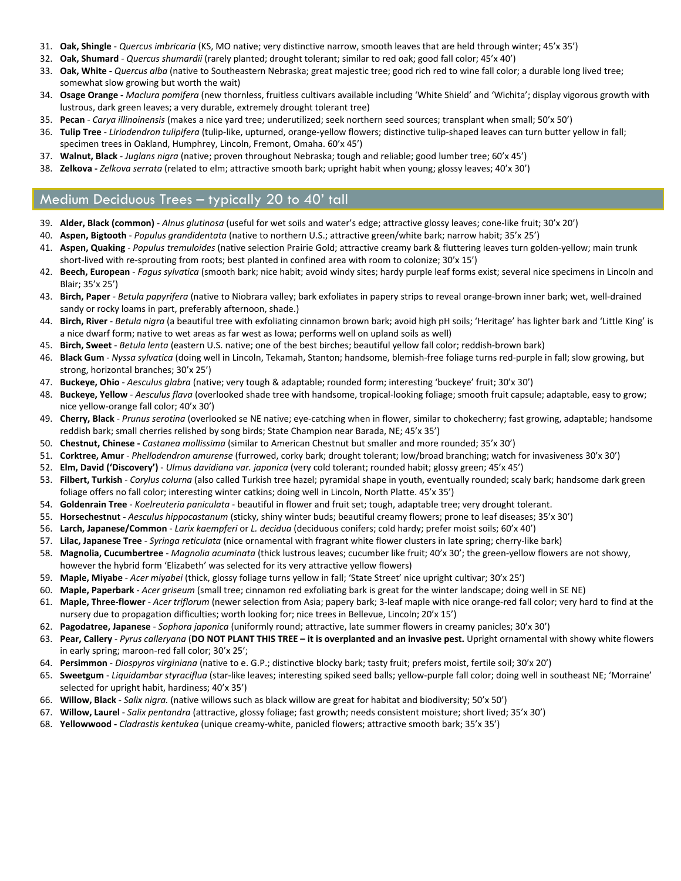- 31. **Oak, Shingle** ‐ *Quercus imbricaria* (KS, MO native; very distinctive narrow, smooth leaves that are held through winter; 45'x 35')
- 32. **Oak, Shumard** ‐ *Quercus shumardii* (rarely planted; drought tolerant; similar to red oak; good fall color; 45'x 40')
- 33. **Oak, White ‐** *Quercus alba* (native to Southeastern Nebraska; great majestic tree; good rich red to wine fall color; a durable long lived tree; somewhat slow growing but worth the wait)
- 34. **Osage Orange ‐** *Maclura pomifera* (new thornless, fruitless cultivars available including 'White Shield' and 'Wichita'; display vigorous growth with lustrous, dark green leaves; a very durable, extremely drought tolerant tree)
- 35. **Pecan** ‐ *Carya illinoinensis* (makes a nice yard tree; underutilized; seek northern seed sources; transplant when small; 50'x 50')
- 36. **Tulip Tree** ‐ *Liriodendron tulipifera* (tulip‐like, upturned, orange‐yellow flowers; distinctive tulip‐shaped leaves can turn butter yellow in fall; specimen trees in Oakland, Humphrey, Lincoln, Fremont, Omaha. 60'x 45')
- 37. **Walnut, Black** ‐ *Juglans nigra* (native; proven throughout Nebraska; tough and reliable; good lumber tree; 60'x 45')
- 38. **Zelkova ‐** *Zelkova serrata* (related to elm; attractive smooth bark; upright habit when young; glossy leaves; 40'x 30')

## Medium Deciduous Trees – typically 20 to 40' tall

- 39. **Alder, Black (common)** ‐ *Alnus glutinosa* (useful for wet soils and water's edge; attractive glossy leaves; cone‐like fruit; 30'x 20')
- 40. **Aspen, Bigtooth** ‐ *Populus grandidentata* (native to northern U.S.; attractive green/white bark; narrow habit; 35'x 25')
- 41. **Aspen, Quaking** ‐ *Populus tremuloides* (native selection Prairie Gold; attractive creamy bark & fluttering leaves turn golden‐yellow; main trunk short-lived with re-sprouting from roots; best planted in confined area with room to colonize; 30'x 15')
- 42. **Beech, European** ‐ *Fagus sylvatica* (smooth bark; nice habit; avoid windy sites; hardy purple leaf forms exist; several nice specimens in Lincoln and Blair; 35'x 25')
- 43. **Birch, Paper** *‐ Betula papyrifera* (native to Niobrara valley; bark exfoliates in papery strips to reveal orange‐brown inner bark; wet, well‐drained sandy or rocky loams in part, preferably afternoon, shade.)
- 44. **Birch, River** ‐ *Betula nigra* (a beautiful tree with exfoliating cinnamon brown bark; avoid high pH soils; 'Heritage' has lighter bark and 'Little King' is a nice dwarf form; native to wet areas as far west as Iowa; performs well on upland soils as well)
- 45. **Birch, Sweet** ‐ *Betula lenta* (eastern U.S. native; one of the best birches; beautiful yellow fall color; reddish‐brown bark)
- 46. **Black Gum** ‐ *Nyssa sylvatica* (doing well in Lincoln, Tekamah, Stanton; handsome, blemish‐free foliage turns red‐purple in fall; slow growing, but strong, horizontal branches; 30'x 25')
- 47. **Buckeye, Ohio** ‐ *Aesculus glabra* (native; very tough & adaptable; rounded form; interesting 'buckeye' fruit; 30'x 30')
- 48. **Buckeye, Yellow** ‐ *Aesculus flava* (overlooked shade tree with handsome, tropical‐looking foliage; smooth fruit capsule; adaptable, easy to grow; nice yellow‐orange fall color; 40'x 30')
- 49. **Cherry, Black** ‐ *Prunus serotina* (overlooked se NE native; eye‐catching when in flower, similar to chokecherry; fast growing, adaptable; handsome reddish bark; small cherries relished by song birds; State Champion near Barada, NE; 45'x 35')
- 50. **Chestnut, Chinese ‐** *Castanea mollissima* (similar to American Chestnut but smaller and more rounded; 35'x 30')
- 51. **Corktree, Amur** ‐ *Phellodendron amurense* (furrowed, corky bark; drought tolerant; low/broad branching; watch for invasiveness 30'x 30')
- 52. **Elm, David ('Discovery')** ‐ *Ulmus davidiana var. japonica* (very cold tolerant; rounded habit; glossy green; 45'x 45')
- 53. **Filbert, Turkish** ‐ *Corylus colurna* (also called Turkish tree hazel; pyramidal shape in youth, eventually rounded; scaly bark; handsome dark green foliage offers no fall color; interesting winter catkins; doing well in Lincoln, North Platte. 45'x 35')
- 54. **Goldenrain Tree** ‐ *Koelreuteria paniculata* ‐ beautiful in flower and fruit set; tough, adaptable tree; very drought tolerant.
- 55. **Horsechestnut ‐** *Aesculus hippocastanum* (sticky, shiny winter buds; beautiful creamy flowers; prone to leaf diseases; 35'x 30')
- 56. **Larch, Japanese/Common** ‐ *Larix kaempferi* or *L. decidua* (deciduous conifers; cold hardy; prefer moist soils; 60'x 40')
- 57. **Lilac, Japanese Tree** ‐ *Syringa reticulata* (nice ornamental with fragrant white flower clusters in late spring; cherry‐like bark)
- 58. **Magnolia, Cucumbertree** ‐ *Magnolia acuminata* (thick lustrous leaves; cucumber like fruit; 40'x 30'; the green‐yellow flowers are not showy, however the hybrid form 'Elizabeth' was selected for its very attractive yellow flowers)
- 59. **Maple, Miyabe** ‐ *Acer miyabei* (thick, glossy foliage turns yellow in fall; 'State Street' nice upright cultivar; 30'x 25')
- 60. **Maple, Paperbark** ‐ *Acer griseum* (small tree; cinnamon red exfoliating bark is great for the winter landscape; doing well in SE NE)
- 61. **Maple, Three‐flower** ‐ *Acer triflorum* (newer selection from Asia; papery bark; 3‐leaf maple with nice orange‐red fall color; very hard to find at the nursery due to propagation difficulties; worth looking for; nice trees in Bellevue, Lincoln; 20'x 15')
- 62. **Pagodatree, Japanese** ‐ *Sophora japonica* (uniformly round; attractive, late summer flowers in creamy panicles; 30'x 30')
- 63. Pear, Callery Pyrus calleryana (DO NOT PLANT THIS TREE it is overplanted and an invasive pest. Upright ornamental with showy white flowers in early spring; maroon‐red fall color; 30'x 25';
- 64. **Persimmon** ‐ *Diospyros virginiana* (native to e. G.P.; distinctive blocky bark; tasty fruit; prefers moist, fertile soil; 30'x 20')
- 65. **Sweetgum** ‐ *Liquidambar styraciflua* (star‐like leaves; interesting spiked seed balls; yellow‐purple fall color; doing well in southeast NE; 'Morraine' selected for upright habit, hardiness; 40'x 35')
- 66. **Willow, Black** ‐ *Salix nigra.* (native willows such as black willow are great for habitat and biodiversity; 50'x 50')
- 67. **Willow, Laurel** ‐ *Salix pentandra* (attractive, glossy foliage; fast growth; needs consistent moisture; short lived; 35'x 30')
- 68. **Yellowwood ‐** *Cladrastis kentukea* (unique creamy‐white, panicled flowers; attractive smooth bark; 35'x 35')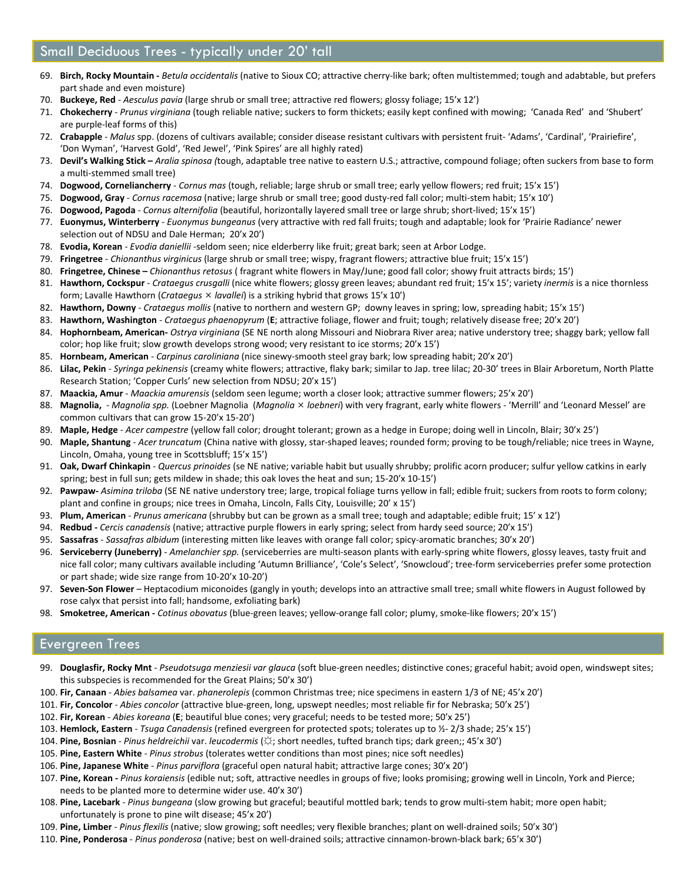## Small Deciduous Trees - typically under 20' tall

- 69. **Birch, Rocky Mountain ‐** *Betula occidentalis* (native to Sioux CO; attractive cherry‐like bark; often multistemmed; tough and adabtable, but prefers part shade and even moisture)
- 70. **Buckeye, Red** ‐ *Aesculus pavia* (large shrub or small tree; attractive red flowers; glossy foliage; 15'x 12')
- 71. **Chokecherry** ‐ *Prunus virginiana* (tough reliable native; suckers to form thickets; easily kept confined with mowing; 'Canada Red' and 'Shubert' are purple‐leaf forms of this)
- 72. **Crabapple** ‐ *Malus* spp. (dozens of cultivars available; consider disease resistant cultivars with persistent fruit‐ 'Adams', 'Cardinal', 'Prairiefire', 'Don Wyman', 'Harvest Gold', 'Red Jewel', 'Pink Spires' are all highly rated)
- 73. **Devil's Walking Stick –** *Aralia spinosa (*tough, adaptable tree native to eastern U.S.; attractive, compound foliage; often suckers from base to form a multi‐stemmed small tree)
- 74. **Dogwood, Corneliancherry** ‐ *Cornus mas* (tough, reliable; large shrub or small tree; early yellow flowers; red fruit; 15'x 15')
- 75. **Dogwood, Gray** ‐ *Cornus racemosa* (native; large shrub or small tree; good dusty‐red fall color; multi‐stem habit; 15'x 10')
- 76. **Dogwood, Pagoda** ‐ *Cornus alternifolia* (beautiful, horizontally layered small tree or large shrub; short‐lived; 15'x 15')
- 77. **Euonymus, Winterberry** ‐ *Euonymus bungeanus* (very attractive with red fall fruits; tough and adaptable; look for 'Prairie Radiance' newer selection out of NDSU and Dale Herman; 20'x 20')
- 78. **Evodia, Korean** ‐ *Evodia daniellii* ‐seldom seen; nice elderberry like fruit; great bark; seen at Arbor Lodge.
- 79. **Fringetree** ‐ *Chionanthus virginicus* (large shrub or small tree; wispy, fragrant flowers; attractive blue fruit; 15'x 15')
- 80. **Fringetree, Chinese –** *Chionanthus retosus* ( fragrant white flowers in May/June; good fall color; showy fruit attracts birds; 15')
- 81. **Hawthorn, Cockspur** ‐ *Crataegus crusgalli* (nice white flowers; glossy green leaves; abundant red fruit; 15'x 15'; variety *inermis* is a nice thornless form; Lavalle Hawthorn (*Crataegus lavallei*) is a striking hybrid that grows 15'x 10')
- 82. **Hawthorn, Downy** ‐ *Crataegus mollis* (native to northern and western GP; downy leaves in spring; low, spreading habit; 15'x 15')
- 83. **Hawthorn, Washington** ‐ *Crataegus phaenopyrum* (**E**; attractive foliage, flower and fruit; tough; relatively disease free; 20'x 20')
- 84. **Hophornbeam, American‐** *Ostrya virginiana* (SE NE north along Missouri and Niobrara River area; native understory tree; shaggy bark; yellow fall color; hop like fruit; slow growth develops strong wood; very resistant to ice storms; 20'x 15')
- 85. **Hornbeam, American** ‐ *Carpinus caroliniana* (nice sinewy‐smooth steel gray bark; low spreading habit; 20'x 20')
- 86. **Lilac, Pekin** ‐ *Syringa pekinensis* (creamy white flowers; attractive, flaky bark; similar to Jap. tree lilac; 20‐30' trees in Blair Arboretum, North Platte Research Station; 'Copper Curls' new selection from NDSU; 20'x 15')
- 87. **Maackia, Amur** ‐ *Maackia amurensis* (seldom seen legume; worth a closer look; attractive summer flowers; 25'x 20')
- 88. Magnolia, Magnolia spp. (Loebner Magnolia (Magnolia × loebneri) with very fragrant, early white flowers 'Merrill' and 'Leonard Messel' are common cultivars that can grow 15‐20'x 15‐20')
- 89. **Maple, Hedge** ‐ *Acer campestre* (yellow fall color; drought tolerant; grown as a hedge in Europe; doing well in Lincoln, Blair; 30'x 25')
- 90. **Maple, Shantung** ‐ *Acer truncatum* (China native with glossy, star‐shaped leaves; rounded form; proving to be tough/reliable; nice trees in Wayne, Lincoln, Omaha, young tree in Scottsbluff; 15'x 15')
- 91. **Oak, Dwarf Chinkapin** ‐ *Quercus prinoides* (se NE native; variable habit but usually shrubby; prolific acorn producer; sulfur yellow catkins in early spring; best in full sun; gets mildew in shade; this oak loves the heat and sun; 15‐20'x 10‐15')
- 92. **Pawpaw‐** *Asimina triloba* (SE NE native understory tree; large, tropical foliage turns yellow in fall; edible fruit; suckers from roots to form colony; plant and confine in groups; nice trees in Omaha, Lincoln, Falls City, Louisville; 20' x 15')
- 93. **Plum, American** ‐ *Prunus americana* (shrubby but can be grown as a small tree; tough and adaptable; edible fruit; 15' x 12')
- 94. **Redbud ‐** *Cercis canadensis* (native; attractive purple flowers in early spring; select from hardy seed source; 20'x 15')
- 95. **Sassafras** ‐ *Sassafras albidum* (interesting mitten like leaves with orange fall color; spicy‐aromatic branches; 30'x 20')
- 96. **Serviceberry (Juneberry)** ‐ *Amelanchier spp.* (serviceberries are multi‐season plants with early‐spring white flowers, glossy leaves, tasty fruit and nice fall color; many cultivars available including 'Autumn Brilliance', 'Cole's Select', 'Snowcloud'; tree‐form serviceberries prefer some protection or part shade; wide size range from 10‐20'x 10‐20')
- 97. **Seven‐Son Flower** Heptacodium miconoides (gangly in youth; develops into an attractive small tree; small white flowers in August followed by rose calyx that persist into fall; handsome, exfoliating bark)
- 98. **Smoketree, American ‐** *Cotinus obovatus* (blue‐green leaves; yellow‐orange fall color; plumy, smoke‐like flowers; 20'x 15')

## Evergreen Trees

- 99. **Douglasfir, Rocky Mnt** ‐ *Pseudotsuga menziesii var glauca* (soft blue‐green needles; distinctive cones; graceful habit; avoid open, windswept sites; this subspecies is recommended for the Great Plains; 50'x 30')
- 100. **Fir, Canaan** ‐ *Abies balsamea* var. *phanerolepis* (common Christmas tree; nice specimens in eastern 1/3 of NE; 45'x 20')
- 101. **Fir, Concolor** ‐ *Abies concolor* (attractive blue‐green, long, upswept needles; most reliable fir for Nebraska; 50'x 25')
- 102. **Fir, Korean** ‐ *Abies koreana* (**E**; beautiful blue cones; very graceful; needs to be tested more; 50'x 25')
- 103. **Hemlock, Eastern** ‐ *Tsuga Canadensis* (refined evergreen for protected spots; tolerates up to ½‐ 2/3 shade; 25'x 15')
- 104. **Pine, Bosnian** ‐ *Pinus heldreichii* var. *leucodermis* (☼; short needles, tufted branch tips; dark green;; 45'x 30')
- 105. **Pine, Eastern White** ‐ *Pinus strobus* (tolerates wetter conditions than most pines; nice soft needles)
- 106. **Pine, Japanese White** ‐ *Pinus parviflora* (graceful open natural habit; attractive large cones; 30'x 20')
- 107. **Pine, Korean ‐** *Pinus koraiensis* (edible nut; soft, attractive needles in groups of five; looks promising; growing well in Lincoln, York and Pierce; needs to be planted more to determine wider use. 40'x 30')
- 108. **Pine, Lacebark** ‐ *Pinus bungeana* (slow growing but graceful; beautiful mottled bark; tends to grow multi‐stem habit; more open habit; unfortunately is prone to pine wilt disease; 45'x 20')
- 109. **Pine, Limber** ‐ *Pinus flexilis* (native; slow growing; soft needles; very flexible branches; plant on well‐drained soils; 50'x 30')
- 110. **Pine, Ponderosa** ‐ *Pinus ponderosa* (native; best on well‐drained soils; attractive cinnamon‐brown‐black bark; 65'x 30')